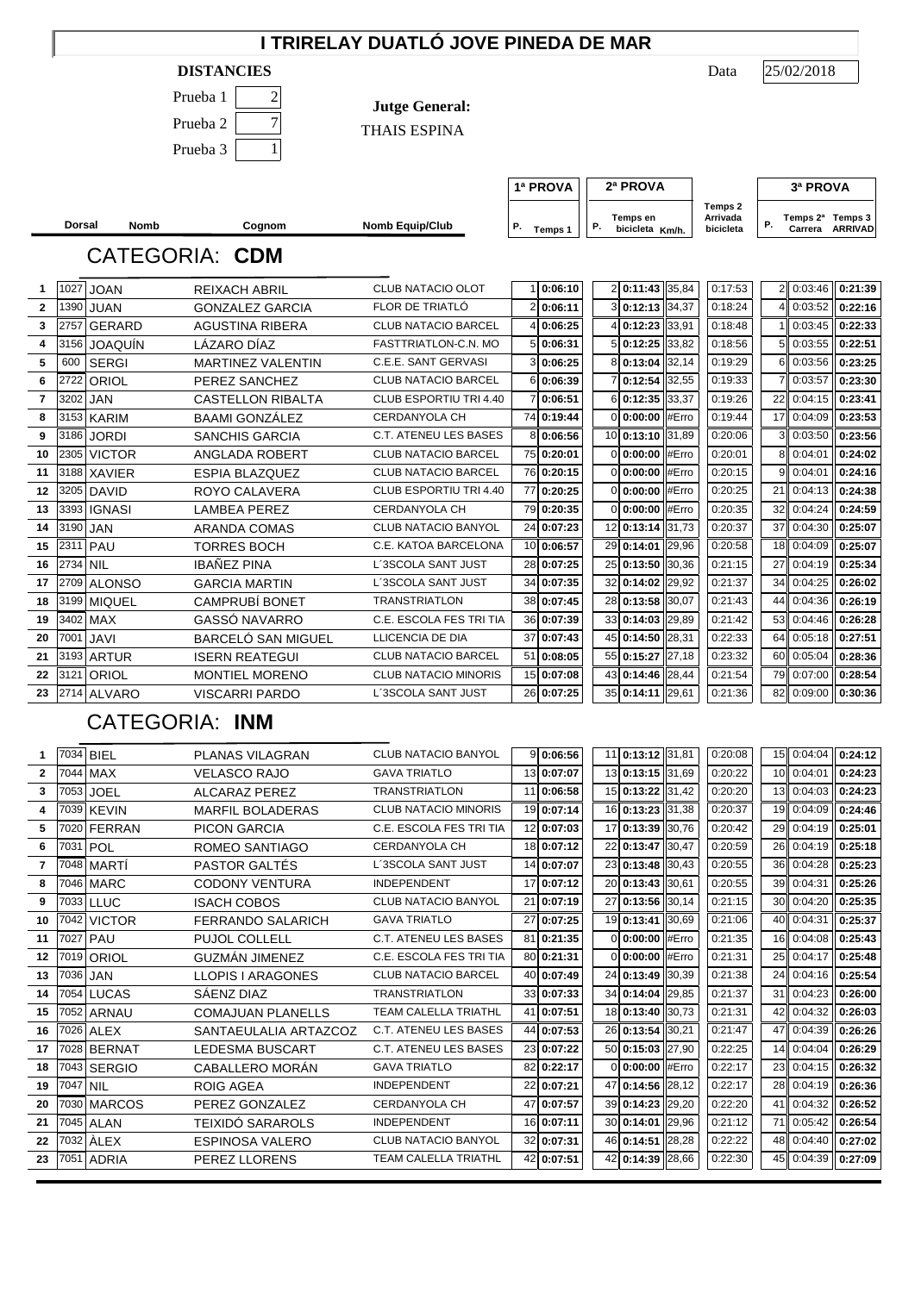## **I TRIRELAY DUATLÓ JOVE PINEDA DE MAR**

#### **DISTANCIES** Data

| Prueba 1 |  |
|----------|--|
| Prueba 2 |  |
| Prueba 3 |  |

**Jutge General:**

THAIS ESPINA

25/02/2018

| Temps 2<br>Arrivada<br>Temps 2ª<br>Temps 3<br>Temps en<br>Р.<br><b>Nomb Equip/Club</b><br>Р.<br>Р.<br>bicicleta Km/h.<br>bicicleta<br><b>ARRIVAD</b><br>Carrera<br>Temps 1 |
|----------------------------------------------------------------------------------------------------------------------------------------------------------------------------|
|                                                                                                                                                                            |

## **Dorsal Nomb Cognom** CATEGORIA: **CDM**

| 1            |          | 1027 JOAN      | <b>REIXACH ABRIL</b>     | <b>CLUB NATACIO OLOT</b>     |   | 0:06:10    | 2  0:11:43            | 35,84 | 0:17:53 |                 | 2 0:03:46  | 0:21:39 |
|--------------|----------|----------------|--------------------------|------------------------------|---|------------|-----------------------|-------|---------|-----------------|------------|---------|
| $\mathbf{2}$ | 1390     | <b>JUAN</b>    | <b>GONZALEZ GARCIA</b>   | FLOR DE TRIATLÓ              |   | 2 0:06:11  | 3 0:12:13 34,37       |       | 0:18:24 |                 | 0:03:52    | 0:22:16 |
| 3            | 2757     | <b>GERARD</b>  | <b>AGUSTINA RIBERA</b>   | <b>CLUB NATACIO BARCEL</b>   | 4 | 0:06:25    | $\vert$ 0:12:23 33,91 |       | 0:18:48 |                 | 0:03:45    | 0:22:33 |
| 4            | 3156     | <b>JOAQUÍN</b> | LÁZARO DÍAZ              | FASTTRIATLON-C.N. MO         |   | 5 0:06:31  | 5 0:12:25             | 33.82 | 0:18:56 | 51              | 0:03:55    | 0:22:51 |
| 5            | 600      | <b>SERGI</b>   | <b>MARTINEZ VALENTIN</b> | C.E.E. SANT GERVASI          |   | 3 0:06:25  | 8 0:13:04 32,14       |       | 0:19:29 | 61              | 0:03:56    | 0:23:25 |
| 6            | 2722     | ORIOL          | PEREZ SANCHEZ            | <b>CLUB NATACIO BARCEL</b>   |   | 6 0:06:39  | $0:12:54$ 32,55       |       | 0:19:33 |                 | 0:03:57    | 0:23:30 |
| 7            | 3202     | <b>JAN</b>     | <b>CASTELLON RIBALTA</b> | CLUB ESPORTIU TRI 4.40       |   | 7 0:06:51  | 6 0:12:35 33,37       |       | 0:19:26 | 22              | 0:04:15    | 0:23:41 |
| 8            |          | 3153 KARIM     | <b>BAAMI GONZÁLEZ</b>    | <b>CERDANYOLA CH</b>         |   | 74 0:19:44 | 0 0:00:00             | #Erro | 0:19:44 | 17 <sup>1</sup> | 0:04:09    | 0:23:53 |
| 9            | 3186     | <b>JORDI</b>   | <b>SANCHIS GARCIA</b>    | <b>C.T. ATENEU LES BASES</b> |   | 8 0:06:56  | 10 0:13:10 31.89      |       | 0:20:06 |                 | 0:03:50    | 0:23:56 |
| 10           |          | 2305 VICTOR    | ANGLADA ROBERT           | <b>CLUB NATACIO BARCEL</b>   |   | 75 0:20:01 | 0 0:00:00             | #Erro | 0:20:01 | 8               | 0:04:01    | 0:24:02 |
| 11           |          | 3188 XAVIER    | <b>ESPIA BLAZQUEZ</b>    | <b>CLUB NATACIO BARCEL</b>   |   | 76 0:20:15 | 0 0:00:00             | #Erro | 0:20:15 | 9               | 0:04:01    | 0:24:16 |
| 12           |          | 3205 DAVID     | ROYO CALAVERA            | CLUB ESPORTIU TRI 4.40       |   | 77 0:20:25 | 0 0:00:00             | #Erro | 0:20:25 | 21              | 0:04:13    | 0:24:38 |
| 13           |          | 3393 IGNASI    | <b>LAMBEA PEREZ</b>      | <b>CERDANYOLA CH</b>         |   | 79 0:20:35 | 0 0:00:00             | #Erro | 0:20:35 | 32              | 0:04:24    | 0:24:59 |
| 14           | 3190 JAN |                | <b>ARANDA COMAS</b>      | <b>CLUB NATACIO BANYOL</b>   |   | 24 0:07:23 | 12 0:13:14 31.73      |       | 0:20:37 | 37              | 0:04:30    | 0:25:07 |
| 15           |          | 2311 PAU       | <b>TORRES BOCH</b>       | C.E. KATOA BARCELONA         |   | 10 0:06:57 | 29 0:14:01 29.96      |       | 0:20:58 | 18 <sup>1</sup> | 0:04:09    | 0:25:07 |
| 16           | 2734 NIL |                | <b>IBAÑEZ PINA</b>       | L'3SCOLA SANT JUST           |   | 28 0:07:25 | 25 0:13:50 30.36      |       | 0:21:15 | 27              | 0:04:19    | 0:25:34 |
| 17           |          | 2709 ALONSO    | <b>GARCIA MARTIN</b>     | L'3SCOLA SANT JUST           |   | 34 0:07:35 | 32 0:14:02 29,92      |       | 0:21:37 | 34              | 0:04:25    | 0:26:02 |
| 18           |          | 3199 MIQUEL    | <b>CAMPRUBÍ BONET</b>    | <b>TRANSTRIATLON</b>         |   | 38 0:07:45 | 28 0:13:58            | 30,07 | 0:21:43 | 44              | 0:04:36    | 0:26:19 |
| 19           | 3402     | <b>MAX</b>     | GASSÓ NAVARRO            | C.E. ESCOLA FES TRI TIA      |   | 36 0:07:39 | 33 0:14:03 29,89      |       | 0:21:42 | 53              | 0:04:46    | 0:26:28 |
| 20           | 7001     | <b>JAVI</b>    | BARCELÓ SAN MIGUEL       | LLICENCIA DE DIA             |   | 37 0:07:43 | 45 0:14:50 28.31      |       | 0:22:33 |                 | 64 0:05:18 | 0:27:51 |
| 21           |          | 3193 ARTUR     | <b>ISERN REATEGUI</b>    | <b>CLUB NATACIO BARCEL</b>   |   | 51 0:08:05 | 55 0:15:27            | 27,18 | 0:23:32 | 60              | 0:05:04    | 0:28:36 |
| 22           |          | 3121 ORIOL     | <b>MONTIEL MORENO</b>    | <b>CLUB NATACIO MINORIS</b>  |   | 15 0:07:08 | 43 0:14:46 28.44      |       | 0:21:54 | 79              | 0:07:00    | 0:28:54 |
| 23           |          | 2714 ALVARO    | <b>VISCARRI PARDO</b>    | L'3SCOLA SANT JUST           |   | 26 0:07:25 | 35 0:14:11 29.61      |       | 0:21:36 | 82              | 0:09:00    | 0:30:36 |

# CATEGORIA: **INM**

|    |          | 7034 BIEL     | PLANAS VILAGRAN          | <b>CLUB NATACIO BANYOL</b>   | 9 0:06:56  | 11 0:13:12 31.81 | 0:20:08 |    | 15 0:04:04 | 0:24:12 |
|----|----------|---------------|--------------------------|------------------------------|------------|------------------|---------|----|------------|---------|
| 2  | 7044     | <b>MAX</b>    | <b>VELASCO RAJO</b>      | <b>GAVA TRIATLO</b>          | 13 0:07:07 | 13 0:13:15 31,69 | 0:20:22 |    | 10 0:04:01 | 0:24:23 |
| 3  | 7053     | <b>JOEL</b>   | <b>ALCARAZ PEREZ</b>     | <b>TRANSTRIATLON</b>         | 11 0:06:58 | 15 0:13:22 31,42 | 0:20:20 |    | 13 0:04:03 | 0:24:23 |
| 4  |          | 7039 KEVIN    | <b>MARFIL BOLADERAS</b>  | <b>CLUB NATACIO MINORIS</b>  | 19 0:07:14 | 16 0:13:23 31,38 | 0:20:37 |    | 19 0:04:09 | 0:24:46 |
| 5  | 7020     | FERRAN        | PICON GARCIA             | C.E. ESCOLA FES TRI TIA      | 12 0:07:03 | 17 0:13:39 30.76 | 0:20:42 | 29 | 0:04:19    | 0:25:01 |
| 6  |          | 7031 POL      | ROMEO SANTIAGO           | <b>CERDANYOLA CH</b>         | 18 0:07:12 | 22 0:13:47 30,47 | 0:20:59 | 26 | 0:04:19    | 0:25:18 |
| 7  |          | 7048 MARTÍ    | PASTOR GALTÉS            | L'3SCOLA SANT JUST           | 14 0:07:07 | 23 0:13:48 30,43 | 0:20:55 |    | 36 0:04:28 | 0:25:23 |
| 8  | 7046     | <b>MARC</b>   | <b>CODONY VENTURA</b>    | <b>INDEPENDENT</b>           | 17 0:07:12 | 20 0:13:43 30.61 | 0:20:55 | 39 | 0:04:31    | 0:25:26 |
| 9  |          | 7033 LLUC     | <b>ISACH COBOS</b>       | <b>CLUB NATACIO BANYOL</b>   | 21 0:07:19 | 27 0:13:56 30,14 | 0:21:15 |    | 30 0:04:20 | 0:25:35 |
| 10 | 7042     | <b>VICTOR</b> | <b>FERRANDO SALARICH</b> | <b>GAVA TRIATLO</b>          | 27 0:07:25 | 19 0:13:41 30,69 | 0:21:06 |    | 40 0:04:31 | 0:25:37 |
| 11 | 7027     | PAU           | PUJOL COLLELL            | <b>C.T. ATENEU LES BASES</b> | 81 0:21:35 | 0 0:00:00 #Erro  | 0:21:35 |    | 16 0:04:08 | 0:25:43 |
| 12 |          | 7019 ORIOL    | <b>GUZMAN JIMENEZ</b>    | C.E. ESCOLA FES TRI TIA      | 80 0:21:31 | 0 0:00:00 #Erro  | 0:21:31 |    | 25 0:04:17 | 0:25:48 |
| 13 | 7036     | <b>JAN</b>    | <b>LLOPIS I ARAGONES</b> | <b>CLUB NATACIO BARCEL</b>   | 40 0:07:49 | 24 0:13:49 30.39 | 0:21:38 | 24 | 0:04:16    | 0:25:54 |
| 14 |          | 7054 LUCAS    | SÁENZ DIAZ               | <b>TRANSTRIATLON</b>         | 33 0:07:33 | 34 0:14:04 29,85 | 0:21:37 |    | 31 0:04:23 | 0:26:00 |
| 15 | 7052     | ARNAU         | <b>COMAJUAN PLANELLS</b> | <b>TEAM CALELLA TRIATHL</b>  | 41 0:07:51 | 18 0:13:40 30.73 | 0:21:31 |    | 42 0:04:32 | 0:26:03 |
| 16 |          | 7026 ALEX     | SANTAEULALIA ARTAZCOZ    | <b>C.T. ATENEU LES BASES</b> | 44 0:07:53 | 26 0:13:54 30,21 | 0:21:47 | 47 | 0:04:39    | 0:26:26 |
| 17 |          | 7028 BERNAT   | <b>LEDESMA BUSCART</b>   | <b>C.T. ATENEU LES BASES</b> | 23 0:07:22 | 50 0:15:03 27,90 | 0:22:25 | 14 | 0:04:04    | 0:26:29 |
| 18 |          | 7043 SERGIO   | CABALLERO MORAN          | <b>GAVA TRIATLO</b>          | 82 0:22:17 | 0 0:00:00 #Erro  | 0:22:17 | 23 | 0:04:15    | 0:26:32 |
| 19 | 7047 NIL |               | ROIG AGEA                | <b>INDEPENDENT</b>           | 22 0:07:21 | 47 0:14:56 28,12 | 0:22:17 |    | 28 0:04:19 | 0:26:36 |
| 20 | 7030     | <b>MARCOS</b> | PEREZ GONZALEZ           | <b>CERDANYOLA CH</b>         | 47 0:07:57 | 39 0:14:23 29,20 | 0:22:20 | 41 | 0:04:32    | 0:26:52 |
| 21 | 7045     | <b>ALAN</b>   | TEIXIDÓ SARAROLS         | <b>INDEPENDENT</b>           | 16 0:07:11 | 30 0:14:01 29,96 | 0:21:12 | 71 | 0:05:42    | 0:26:54 |
| 22 | 7032     | ÀLEX          | <b>ESPINOSA VALERO</b>   | CLUB NATACIO BANYOL          | 32 0:07:31 | 46 0:14:51 28,28 | 0:22:22 |    | 48 0:04:40 | 0:27:02 |
| 23 |          | 7051 ADRIA    | PEREZ LLORENS            | <b>TEAM CALELLA TRIATHL</b>  | 42 0:07:51 | 42 0:14:39 28,66 | 0:22:30 |    | 45 0:04:39 | 0:27:09 |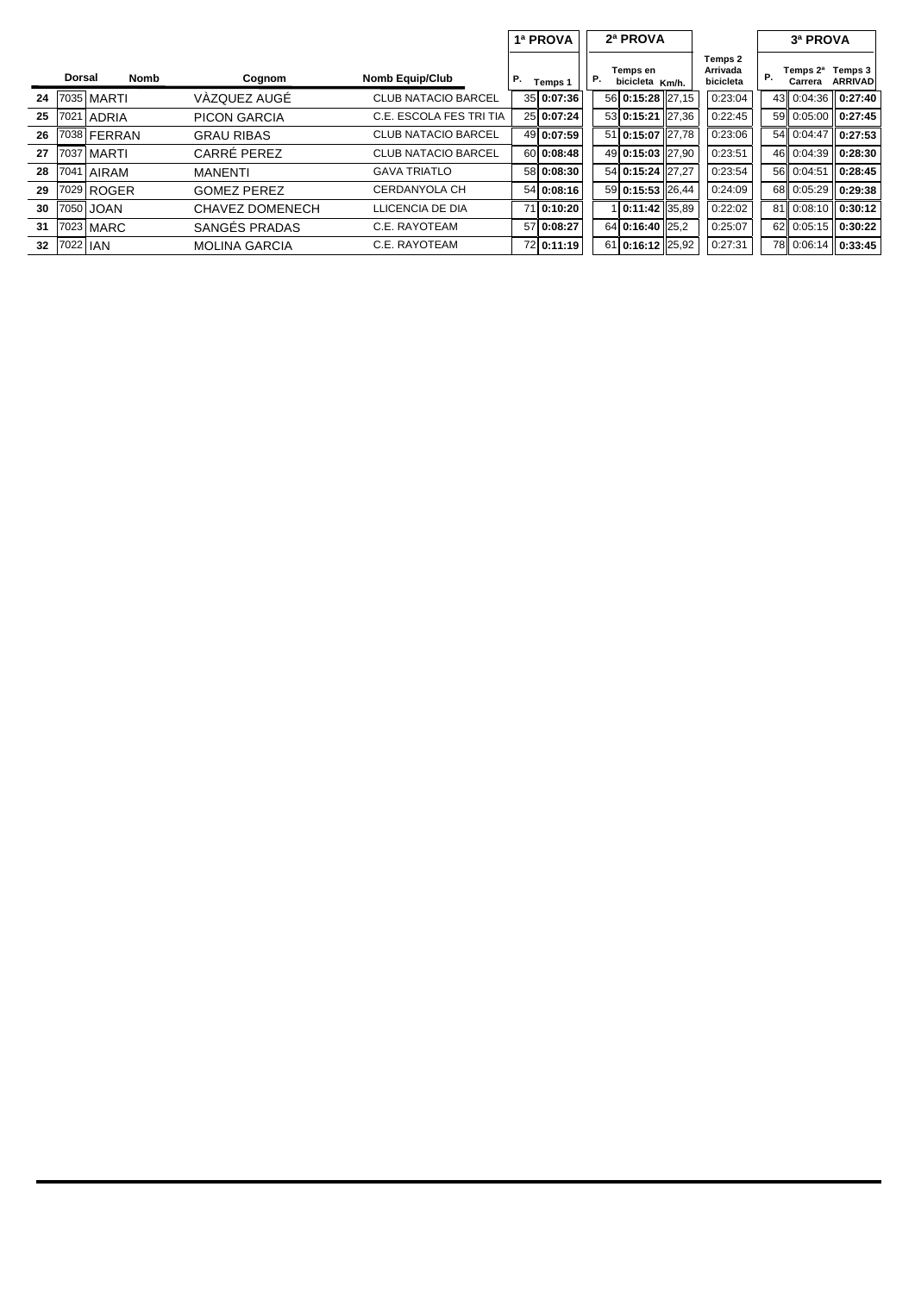|    |          |               |                      |                            |    | 2ª PROVA<br>1ª PROVA |    |                             |  |                                  |    | 3ª PROVA            |                           |  |
|----|----------|---------------|----------------------|----------------------------|----|----------------------|----|-----------------------------|--|----------------------------------|----|---------------------|---------------------------|--|
|    | Dorsal   | Nomb          | Cognom               | <b>Nomb Equip/Club</b>     | Р. | Temps 1              |    | Temps en<br>bicicleta Km/h. |  | Temps 2<br>Arrivada<br>bicicleta |    | Temps 2ª<br>Carrera | Temps 3<br><b>ARRIVAD</b> |  |
| 24 | 7035     | <b>MARTI</b>  | VÀZQUEZ AUGÉ         | <b>CLUB NATACIO BARCEL</b> |    | 35 0:07:36           |    | 56 0:15:28 27.15            |  | 0:23:04                          |    | 43 0:04:36          | 0:27:40                   |  |
| 25 | 7021     | ADRIA         | PICON GARCIA         | C.E. ESCOLA FES TRI TIA    |    | 25 0:07:24           |    | 53 0:15:21 27.36            |  | 0:22:45                          |    | 59 0:05:00          | 0:27:45                   |  |
| 26 | 7038     | <b>FERRAN</b> | <b>GRAU RIBAS</b>    | <b>CLUB NATACIO BARCEL</b> |    | 49 0:07:59           |    | 51 0:15:07 27.78            |  | 0:23:06                          |    | 54 0:04:47          | 0:27:53                   |  |
| 27 | 7037     | <b>MARTI</b>  | CARRÉ PEREZ          | <b>CLUB NATACIO BARCEL</b> |    | 60 0:08:48           |    | 49 0:15:03 27.90            |  | 0:23:51                          |    | 46 0:04:39          | 0:28:30                   |  |
| 28 | 7041     | AIRAM         | MANENTI              | <b>GAVA TRIATLO</b>        |    | 58 0:08:30           |    | 54 0:15:24 27.27            |  | 0:23:54                          |    | 56 0:04:51          | 0:28:45                   |  |
| 29 | 7029     | <b>ROGER</b>  | <b>GOMEZ PEREZ</b>   | <b>CERDANYOLA CH</b>       |    | 54 0:08:16           |    | 59 0:15:53 26.44            |  | 0:24:09                          |    | 68 0:05:29          | 0:29:38                   |  |
| 30 |          | 7050 JOAN     | CHAVEZ DOMENECH      | LLICENCIA DE DIA           |    | 71 0:10:20           |    | $0:11:42$ 35.89             |  | 0:22:02                          |    | 81 0:08:10          | 0:30:12                   |  |
| 31 | 7023     | <b>MARC</b>   | SANGÉS PRADAS        | C.E. RAYOTEAM              |    | 57 0:08:27           |    | 64 0:16:40 25.2             |  | 0:25:07                          | 62 | 0:05:15             | 0:30:22                   |  |
| 32 | 7022 IAN |               | <b>MOLINA GARCIA</b> | C.E. RAYOTEAM              |    | 72 0:11:19           | 61 | $0:16:12$ 25,92             |  | 0:27:31                          |    | 78 0:06:14          | 0:33:45                   |  |